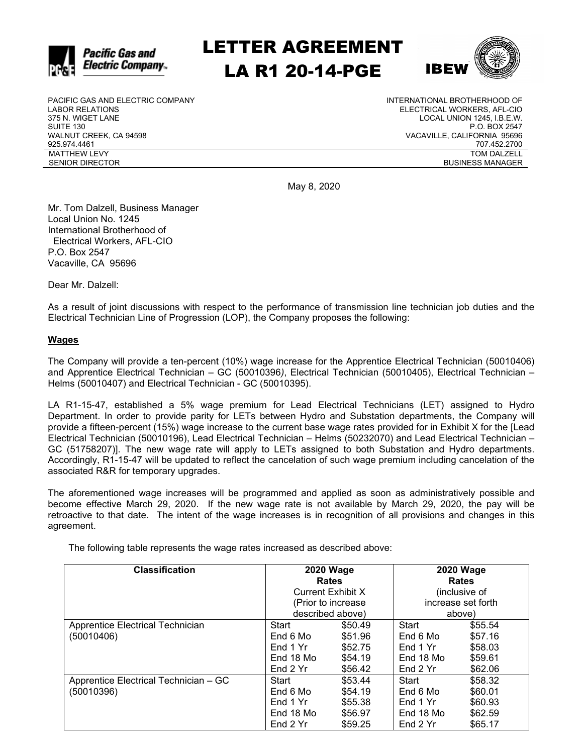

# LETTER AGREEMENT LA R1 20-14-PGE



PACIFIC GAS AND ELECTRIC COMPANY LABOR RELATIONS 375 N. WIGET LANE SUITE 130 WALNUT CREEK, CA 94598 925.974.4461 MATTHEW LEVY SENIOR DIRECTOR

INTERNATIONAL BROTHERHOOD OF ELECTRICAL WORKERS, AFL-CIO LOCAL UNION 1245, I.B.E.W. P.O. BOX 2547 VACAVILLE, CALIFORNIA 95696 707.452.2700 TOM DALZELL BUSINESS MANAGER

May 8, 2020

Mr. Tom Dalzell, Business Manager Local Union No. 1245 International Brotherhood of Electrical Workers, AFL-CIO P.O. Box 2547 Vacaville, CA 95696

Dear Mr. Dalzell:

As a result of joint discussions with respect to the performance of transmission line technician job duties and the Electrical Technician Line of Progression (LOP), the Company proposes the following:

#### **Wages**

The Company will provide a ten-percent (10%) wage increase for the Apprentice Electrical Technician (50010406) and Apprentice Electrical Technician – GC (50010396*)*, Electrical Technician (50010405), Electrical Technician – Helms (50010407) and Electrical Technician - GC (50010395).

LA R1-15-47, established a 5% wage premium for Lead Electrical Technicians (LET) assigned to Hydro Department. In order to provide parity for LETs between Hydro and Substation departments, the Company will provide a fifteen-percent (15%) wage increase to the current base wage rates provided for in Exhibit X for the [Lead Electrical Technician (50010196), Lead Electrical Technician – Helms (50232070) and Lead Electrical Technician – GC (51758207)]. The new wage rate will apply to LETs assigned to both Substation and Hydro departments. Accordingly, R1-15-47 will be updated to reflect the cancelation of such wage premium including cancelation of the associated R&R for temporary upgrades.

The aforementioned wage increases will be programmed and applied as soon as administratively possible and become effective March 29, 2020. If the new wage rate is not available by March 29, 2020, the pay will be retroactive to that date. The intent of the wage increases is in recognition of all provisions and changes in this agreement.

The following table represents the wage rates increased as described above:

| <b>Classification</b>                 | <b>2020 Wage</b>         |         | <b>2020 Wage</b>   |         |
|---------------------------------------|--------------------------|---------|--------------------|---------|
|                                       | <b>Rates</b>             |         | <b>Rates</b>       |         |
|                                       | <b>Current Exhibit X</b> |         | (inclusive of      |         |
|                                       | (Prior to increase)      |         | increase set forth |         |
|                                       | described above)         |         | above)             |         |
| Apprentice Electrical Technician      | Start                    | \$50.49 | Start              | \$55.54 |
| (50010406)                            | End 6 Mo                 | \$51.96 | End 6 Mo           | \$57.16 |
|                                       | End 1 Yr                 | \$52.75 | End 1 Yr           | \$58.03 |
|                                       | End 18 Mo                | \$54.19 | End 18 Mo          | \$59.61 |
|                                       | End 2 Yr                 | \$56.42 | End 2 Yr           | \$62.06 |
| Apprentice Electrical Technician - GC | Start                    | \$53.44 | Start              | \$58.32 |
| (50010396)                            | End 6 Mo                 | \$54.19 | End 6 Mo           | \$60.01 |
|                                       | End 1 Yr                 | \$55.38 | End 1 Yr           | \$60.93 |
|                                       | End 18 Mo                | \$56.97 | End 18 Mo          | \$62.59 |
|                                       | End 2 Yr                 | \$59.25 | End 2 Yr           | \$65.17 |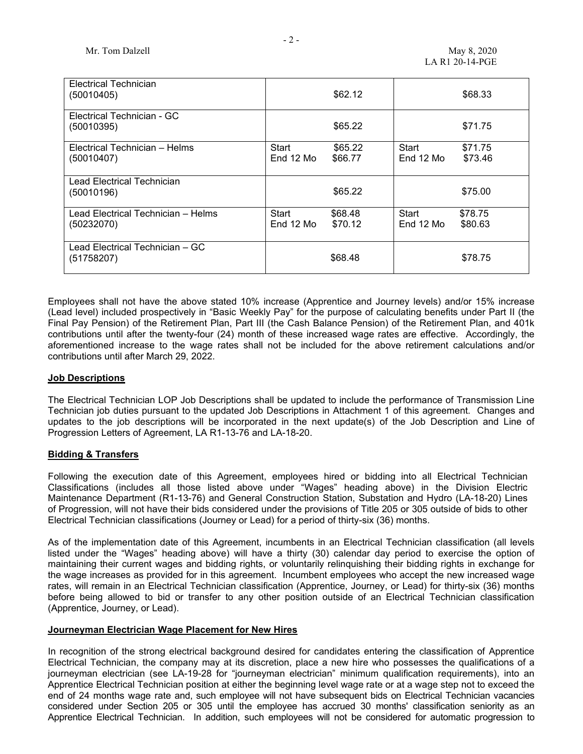| Electrical Technician<br>(50010405)              | \$62.12                                  | \$68.33                                  |
|--------------------------------------------------|------------------------------------------|------------------------------------------|
| Electrical Technician - GC<br>(50010395)         | \$65.22                                  | \$71.75                                  |
| Electrical Technician - Helms<br>(50010407)      | Start<br>\$65.22<br>End 12 Mo<br>\$66.77 | Start<br>\$71.75<br>End 12 Mo<br>\$73.46 |
| Lead Electrical Technician<br>(50010196)         | \$65.22                                  | \$75.00                                  |
| Lead Electrical Technician – Helms<br>(50232070) | Start<br>\$68.48<br>End 12 Mo<br>\$70.12 | Start<br>\$78.75<br>End 12 Mo<br>\$80.63 |
| Lead Electrical Technician - GC<br>(51758207)    | \$68.48                                  | \$78.75                                  |

Employees shall not have the above stated 10% increase (Apprentice and Journey levels) and/or 15% increase (Lead level) included prospectively in "Basic Weekly Pay" for the purpose of calculating benefits under Part II (the Final Pay Pension) of the Retirement Plan, Part III (the Cash Balance Pension) of the Retirement Plan, and 401k contributions until after the twenty-four (24) month of these increased wage rates are effective. Accordingly, the aforementioned increase to the wage rates shall not be included for the above retirement calculations and/or contributions until after March 29, 2022.

#### **Job Descriptions**

The Electrical Technician LOP Job Descriptions shall be updated to include the performance of Transmission Line Technician job duties pursuant to the updated Job Descriptions in Attachment 1 of this agreement. Changes and updates to the job descriptions will be incorporated in the next update(s) of the Job Description and Line of Progression Letters of Agreement, LA R1-13-76 and LA-18-20.

#### **Bidding & Transfers**

Following the execution date of this Agreement, employees hired or bidding into all Electrical Technician Classifications (includes all those listed above under "Wages" heading above) in the Division Electric Maintenance Department (R1-13-76) and General Construction Station, Substation and Hydro (LA-18-20) Lines of Progression, will not have their bids considered under the provisions of Title 205 or 305 outside of bids to other Electrical Technician classifications (Journey or Lead) for a period of thirty-six (36) months.

As of the implementation date of this Agreement, incumbents in an Electrical Technician classification (all levels listed under the "Wages" heading above) will have a thirty (30) calendar day period to exercise the option of maintaining their current wages and bidding rights, or voluntarily relinquishing their bidding rights in exchange for the wage increases as provided for in this agreement. Incumbent employees who accept the new increased wage rates, will remain in an Electrical Technician classification (Apprentice, Journey, or Lead) for thirty-six (36) months before being allowed to bid or transfer to any other position outside of an Electrical Technician classification (Apprentice, Journey, or Lead).

#### **Journeyman Electrician Wage Placement for New Hires**

In recognition of the strong electrical background desired for candidates entering the classification of Apprentice Electrical Technician, the company may at its discretion, place a new hire who possesses the qualifications of a journeyman electrician (see LA-19-28 for "journeyman electrician" minimum qualification requirements), into an Apprentice Electrical Technician position at either the beginning level wage rate or at a wage step not to exceed the end of 24 months wage rate and, such employee will not have subsequent bids on Electrical Technician vacancies considered under Section 205 or 305 until the employee has accrued 30 months' classification seniority as an Apprentice Electrical Technician. In addition, such employees will not be considered for automatic progression to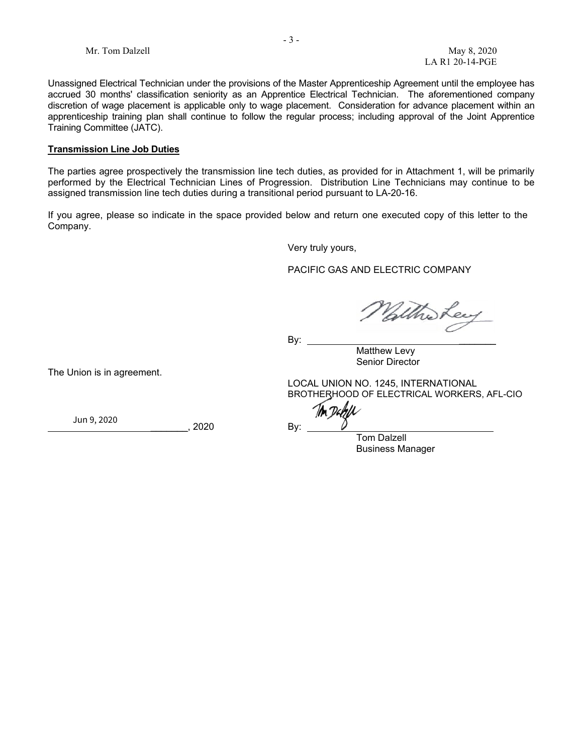Unassigned Electrical Technician under the provisions of the Master Apprenticeship Agreement until the employee has accrued 30 months' classification seniority as an Apprentice Electrical Technician. The aforementioned company discretion of wage placement is applicable only to wage placement. Consideration for advance placement within an apprenticeship training plan shall continue to follow the regular process; including approval of the Joint Apprentice Training Committee (JATC).

#### **Transmission Line Job Duties**

The parties agree prospectively the transmission line tech duties, as provided for in Attachment 1, will be primarily performed by the Electrical Technician Lines of Progression. Distribution Line Technicians may continue to be assigned transmission line tech duties during a transitional period pursuant to LA-20-16.

If you agree, please so indicate in the space provided below and return one executed copy of this letter to the Company.

Very truly yours,

PACIFIC GAS AND ELECTRIC COMPANY

altho Lee

By: \_\_\_\_\_\_\_

Matthew Levy Senior Director

LOCAL UNION NO. 1245, INTERNATIONAL BROTHERHOOD OF ELECTRICAL WORKERS, AFL-CIO

 ${\bf \circ}$ 

Tom Dalzell Business Manager

The Union is in agreement.

{{Dte\_es\_:Signer:date}} Jun 9, 2020

2020 By: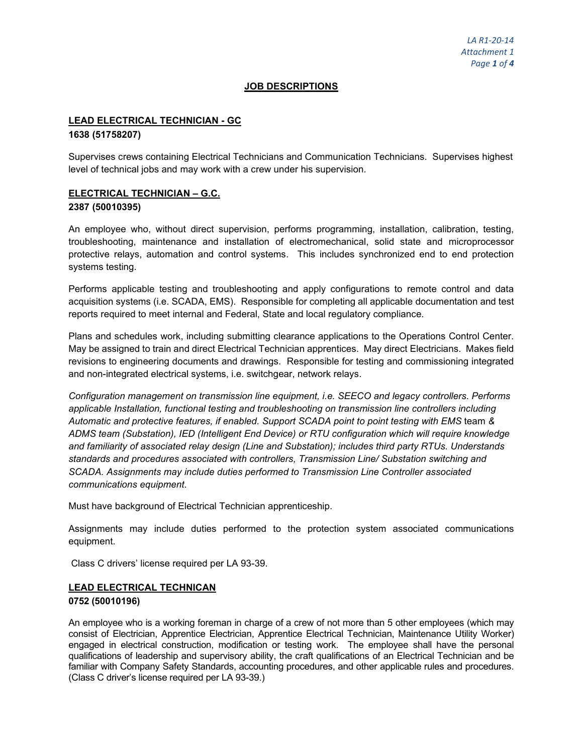### **JOB DESCRIPTIONS**

# **LEAD ELECTRICAL TECHNICIAN - GC**

#### **1638 (51758207)**

Supervises crews containing Electrical Technicians and Communication Technicians. Supervises highest level of technical jobs and may work with a crew under his supervision.

# **ELECTRICAL TECHNICIAN – G.C. 2387 (50010395)**

An employee who, without direct supervision, performs programming, installation, calibration, testing, troubleshooting, maintenance and installation of electromechanical, solid state and microprocessor protective relays, automation and control systems. This includes synchronized end to end protection systems testing.

Performs applicable testing and troubleshooting and apply configurations to remote control and data acquisition systems (i.e. SCADA, EMS). Responsible for completing all applicable documentation and test reports required to meet internal and Federal, State and local regulatory compliance.

Plans and schedules work, including submitting clearance applications to the Operations Control Center. May be assigned to train and direct Electrical Technician apprentices. May direct Electricians. Makes field revisions to engineering documents and drawings. Responsible for testing and commissioning integrated and non-integrated electrical systems, i.e. switchgear, network relays.

*Configuration management on transmission line equipment, i.e. SEECO and legacy controllers. Performs applicable Installation, functional testing and troubleshooting on transmission line controllers including Automatic and protective features, if enabled. Support SCADA point to point testing with EMS* team *& ADMS team (Substation), IED (Intelligent End Device) or RTU configuration which will require knowledge and familiarity of associated relay design (Line and Substation); includes third party RTUs. Understands standards and procedures associated with controllers, Transmission Line/ Substation switching and SCADA. Assignments may include duties performed to Transmission Line Controller associated communications equipment.*

Must have background of Electrical Technician apprenticeship.

Assignments may include duties performed to the protection system associated communications equipment.

Class C drivers' license required per LA 93-39.

# **LEAD ELECTRICAL TECHNICAN 0752 (50010196)**

An employee who is a working foreman in charge of a crew of not more than 5 other employees (which may consist of Electrician, Apprentice Electrician, Apprentice Electrical Technician, Maintenance Utility Worker) engaged in electrical construction, modification or testing work. The employee shall have the personal qualifications of leadership and supervisory ability, the craft qualifications of an Electrical Technician and be familiar with Company Safety Standards, accounting procedures, and other applicable rules and procedures. (Class C driver's license required per LA 93-39.)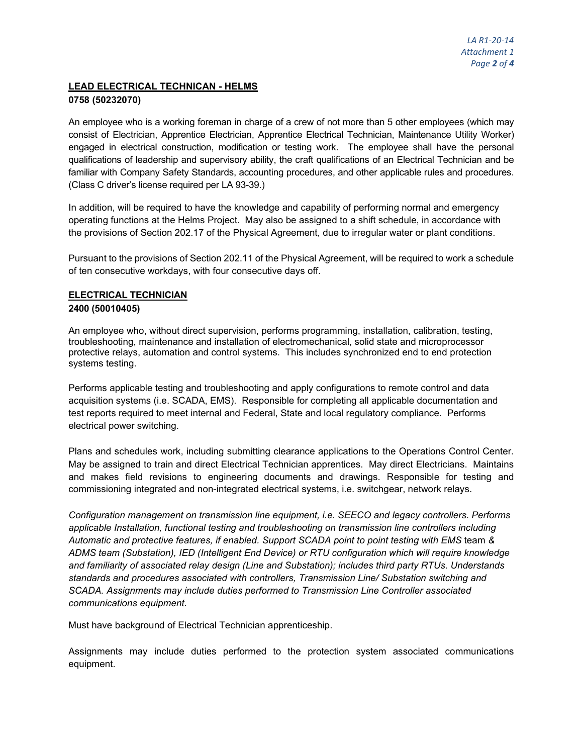# **LEAD ELECTRICAL TECHNICAN - HELMS 0758 (50232070)**

An employee who is a working foreman in charge of a crew of not more than 5 other employees (which may consist of Electrician, Apprentice Electrician, Apprentice Electrical Technician, Maintenance Utility Worker) engaged in electrical construction, modification or testing work. The employee shall have the personal qualifications of leadership and supervisory ability, the craft qualifications of an Electrical Technician and be familiar with Company Safety Standards, accounting procedures, and other applicable rules and procedures. (Class C driver's license required per LA 93-39.)

In addition, will be required to have the knowledge and capability of performing normal and emergency operating functions at the Helms Project. May also be assigned to a shift schedule, in accordance with the provisions of Section 202.17 of the Physical Agreement, due to irregular water or plant conditions.

Pursuant to the provisions of Section 202.11 of the Physical Agreement, will be required to work a schedule of ten consecutive workdays, with four consecutive days off.

# **ELECTRICAL TECHNICIAN 2400 (50010405)**

An employee who, without direct supervision, performs programming, installation, calibration, testing, troubleshooting, maintenance and installation of electromechanical, solid state and microprocessor protective relays, automation and control systems. This includes synchronized end to end protection systems testing.

Performs applicable testing and troubleshooting and apply configurations to remote control and data acquisition systems (i.e. SCADA, EMS). Responsible for completing all applicable documentation and test reports required to meet internal and Federal, State and local regulatory compliance. Performs electrical power switching.

Plans and schedules work, including submitting clearance applications to the Operations Control Center. May be assigned to train and direct Electrical Technician apprentices. May direct Electricians. Maintains and makes field revisions to engineering documents and drawings. Responsible for testing and commissioning integrated and non-integrated electrical systems, i.e. switchgear, network relays.

*Configuration management on transmission line equipment, i.e. SEECO and legacy controllers. Performs applicable Installation, functional testing and troubleshooting on transmission line controllers including Automatic and protective features, if enabled. Support SCADA point to point testing with EMS* team *& ADMS team (Substation), IED (Intelligent End Device) or RTU configuration which will require knowledge and familiarity of associated relay design (Line and Substation); includes third party RTUs. Understands standards and procedures associated with controllers, Transmission Line/ Substation switching and SCADA. Assignments may include duties performed to Transmission Line Controller associated communications equipment.*

Must have background of Electrical Technician apprenticeship.

Assignments may include duties performed to the protection system associated communications equipment.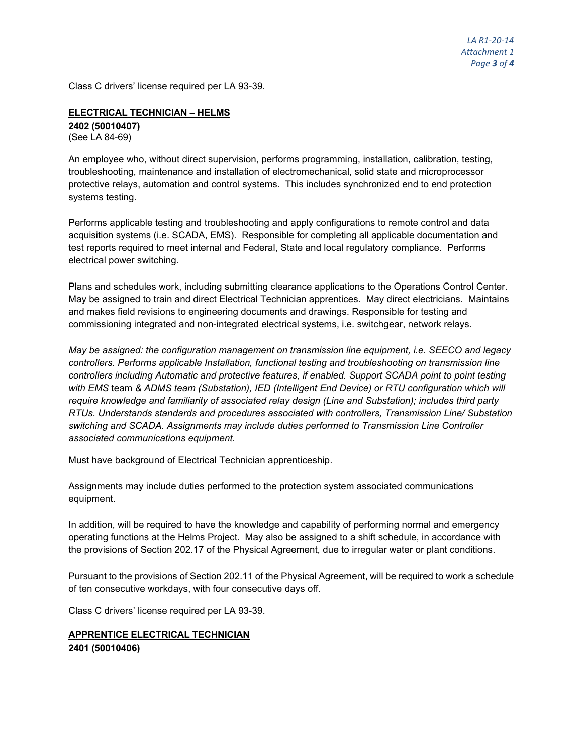Class C drivers' license required per LA 93-39.

# **ELECTRICAL TECHNICIAN – HELMS 2402 (50010407)** (See LA 84-69)

An employee who, without direct supervision, performs programming, installation, calibration, testing, troubleshooting, maintenance and installation of electromechanical, solid state and microprocessor protective relays, automation and control systems. This includes synchronized end to end protection systems testing.

Performs applicable testing and troubleshooting and apply configurations to remote control and data acquisition systems (i.e. SCADA, EMS). Responsible for completing all applicable documentation and test reports required to meet internal and Federal, State and local regulatory compliance. Performs electrical power switching.

Plans and schedules work, including submitting clearance applications to the Operations Control Center. May be assigned to train and direct Electrical Technician apprentices. May direct electricians. Maintains and makes field revisions to engineering documents and drawings. Responsible for testing and commissioning integrated and non-integrated electrical systems, i.e. switchgear, network relays.

*May be assigned: the configuration management on transmission line equipment, i.e. SEECO and legacy controllers. Performs applicable Installation, functional testing and troubleshooting on transmission line controllers including Automatic and protective features, if enabled. Support SCADA point to point testing with EMS* team *& ADMS team (Substation), IED (Intelligent End Device) or RTU configuration which will require knowledge and familiarity of associated relay design (Line and Substation); includes third party RTUs. Understands standards and procedures associated with controllers, Transmission Line/ Substation switching and SCADA. Assignments may include duties performed to Transmission Line Controller associated communications equipment.*

Must have background of Electrical Technician apprenticeship.

Assignments may include duties performed to the protection system associated communications equipment.

In addition, will be required to have the knowledge and capability of performing normal and emergency operating functions at the Helms Project. May also be assigned to a shift schedule, in accordance with the provisions of Section 202.17 of the Physical Agreement, due to irregular water or plant conditions.

Pursuant to the provisions of Section 202.11 of the Physical Agreement, will be required to work a schedule of ten consecutive workdays, with four consecutive days off.

Class C drivers' license required per LA 93-39.

# **APPRENTICE ELECTRICAL TECHNICIAN 2401 (50010406)**